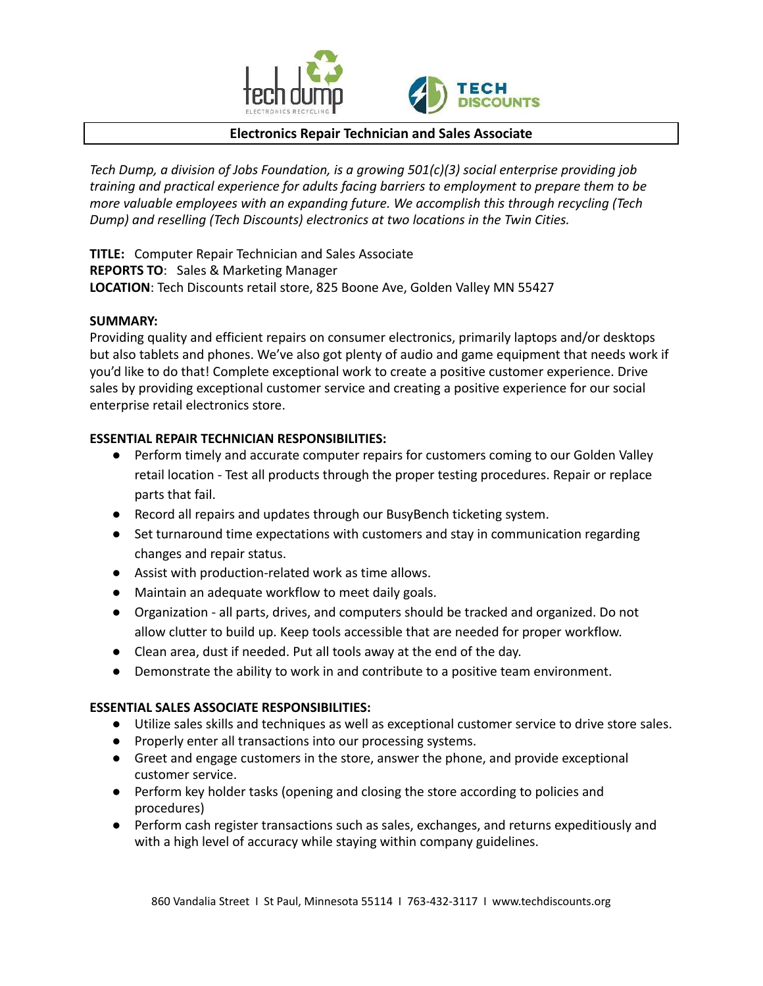



# **Electronics Repair Technician and Sales Associate**

*Tech Dump, a division of Jobs Foundation, is a growing 501(c)(3) social enterprise providing job training and practical experience for adults facing barriers to employment to prepare them to be more valuable employees with an expanding future. We accomplish this through recycling (Tech Dump) and reselling (Tech Discounts) electronics at two locations in the Twin Cities.*

**TITLE:** Computer Repair Technician and Sales Associate **REPORTS TO**: Sales & Marketing Manager **LOCATION**: Tech Discounts retail store, 825 Boone Ave, Golden Valley MN 55427

## **SUMMARY:**

Providing quality and efficient repairs on consumer electronics, primarily laptops and/or desktops but also tablets and phones. We've also got plenty of audio and game equipment that needs work if you'd like to do that! Complete exceptional work to create a positive customer experience. Drive sales by providing exceptional customer service and creating a positive experience for our social enterprise retail electronics store.

## **ESSENTIAL REPAIR TECHNICIAN RESPONSIBILITIES:**

- Perform timely and accurate computer repairs for customers coming to our Golden Valley retail location - Test all products through the proper testing procedures. Repair or replace parts that fail.
- Record all repairs and updates through our BusyBench ticketing system.
- Set turnaround time expectations with customers and stay in communication regarding changes and repair status.
- Assist with production-related work as time allows.
- Maintain an adequate workflow to meet daily goals.
- Organization all parts, drives, and computers should be tracked and organized. Do not allow clutter to build up. Keep tools accessible that are needed for proper workflow.
- Clean area, dust if needed. Put all tools away at the end of the day.
- Demonstrate the ability to work in and contribute to a positive team environment.

# **ESSENTIAL SALES ASSOCIATE RESPONSIBILITIES:**

- Utilize sales skills and techniques as well as exceptional customer service to drive store sales.
- Properly enter all transactions into our processing systems.
- Greet and engage customers in the store, answer the phone, and provide exceptional customer service.
- Perform key holder tasks (opening and closing the store according to policies and procedures)
- Perform cash register transactions such as sales, exchanges, and returns expeditiously and with a high level of accuracy while staying within company guidelines.